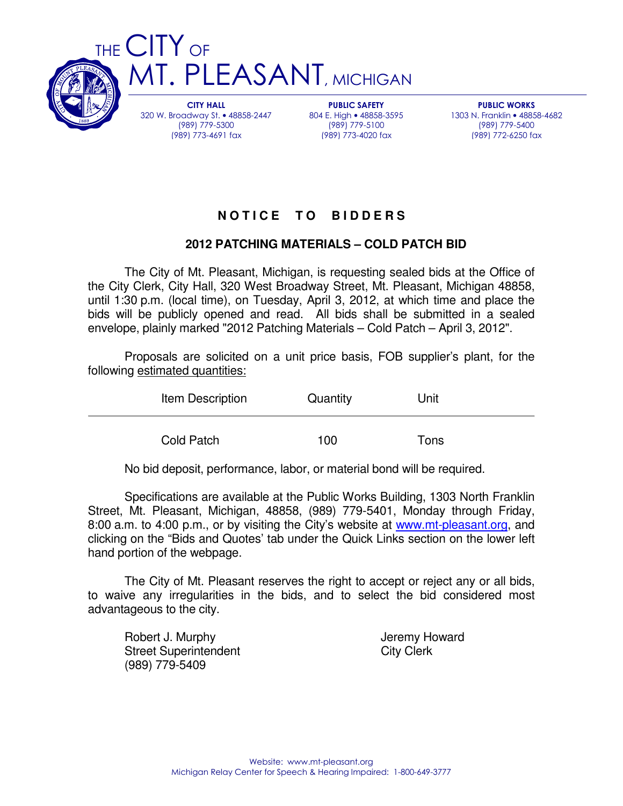

CITY HALL 320 W. Broadway St. • 48858-2447 (989) 779-5300 (989) 773-4691 fax

PUBLIC SAFETY 804 E. High • 48858-3595 (989) 779-5100 (989) 773-4020 fax

PUBLIC WORKS 1303 N. Franklin • 48858-4682 (989) 779-5400 (989) 772-6250 fax

# **N O T I C E T O B I D D E R S**

## **2012 PATCHING MATERIALS – COLD PATCH BID**

 The City of Mt. Pleasant, Michigan, is requesting sealed bids at the Office of the City Clerk, City Hall, 320 West Broadway Street, Mt. Pleasant, Michigan 48858, until 1:30 p.m. (local time), on Tuesday, April 3, 2012, at which time and place the bids will be publicly opened and read. All bids shall be submitted in a sealed envelope, plainly marked "2012 Patching Materials – Cold Patch – April 3, 2012".

 Proposals are solicited on a unit price basis, FOB supplier's plant, for the following estimated quantities:

| Item Description | Quantity | Unit |
|------------------|----------|------|
| Cold Patch       | 100      | Tons |

No bid deposit, performance, labor, or material bond will be required.

 Specifications are available at the Public Works Building, 1303 North Franklin Street, Mt. Pleasant, Michigan, 48858, (989) 779-5401, Monday through Friday, 8:00 a.m. to 4:00 p.m., or by visiting the City's website at www.mt-pleasant.org, and clicking on the "Bids and Quotes' tab under the Quick Links section on the lower left hand portion of the webpage.

 The City of Mt. Pleasant reserves the right to accept or reject any or all bids, to waive any irregularities in the bids, and to select the bid considered most advantageous to the city.

Robert J. Murphy **Internal Accept Accept Accept** Jeremy Howard Street Superintendent City Clerk (989) 779-5409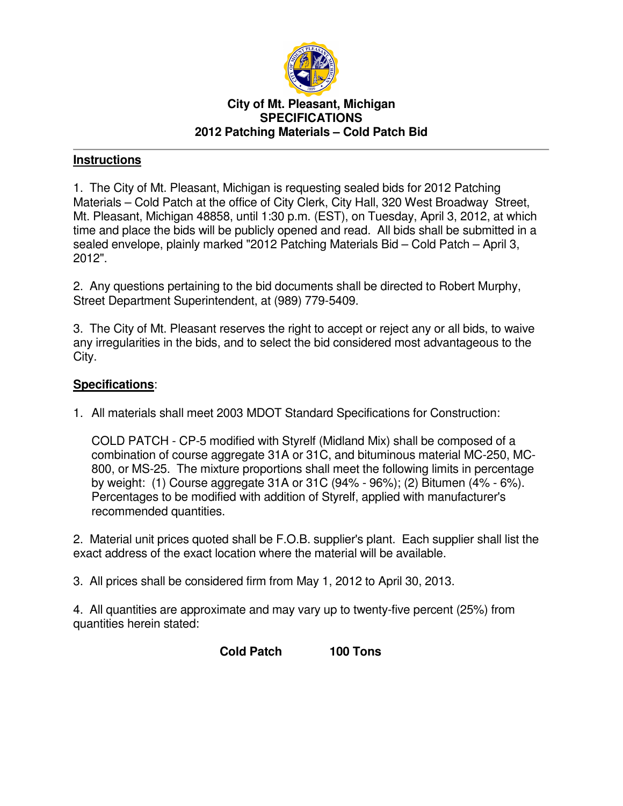

#### **City of Mt. Pleasant, Michigan SPECIFICATIONS 2012 Patching Materials – Cold Patch Bid**

### **Instructions**

1. The City of Mt. Pleasant, Michigan is requesting sealed bids for 2012 Patching Materials – Cold Patch at the office of City Clerk, City Hall, 320 West Broadway Street, Mt. Pleasant, Michigan 48858, until 1:30 p.m. (EST), on Tuesday, April 3, 2012, at which time and place the bids will be publicly opened and read. All bids shall be submitted in a sealed envelope, plainly marked "2012 Patching Materials Bid – Cold Patch – April 3, 2012".

2. Any questions pertaining to the bid documents shall be directed to Robert Murphy, Street Department Superintendent, at (989) 779-5409.

3. The City of Mt. Pleasant reserves the right to accept or reject any or all bids, to waive any irregularities in the bids, and to select the bid considered most advantageous to the City.

### **Specifications**:

1. All materials shall meet 2003 MDOT Standard Specifications for Construction:

COLD PATCH - CP-5 modified with Styrelf (Midland Mix) shall be composed of a combination of course aggregate 31A or 31C, and bituminous material MC-250, MC-800, or MS-25. The mixture proportions shall meet the following limits in percentage by weight: (1) Course aggregate 31A or 31C (94% - 96%); (2) Bitumen (4% - 6%). Percentages to be modified with addition of Styrelf, applied with manufacturer's recommended quantities.

2. Material unit prices quoted shall be F.O.B. supplier's plant. Each supplier shall list the exact address of the exact location where the material will be available.

3. All prices shall be considered firm from May 1, 2012 to April 30, 2013.

4. All quantities are approximate and may vary up to twenty-five percent (25%) from quantities herein stated:

**Cold Patch 100 Tons**